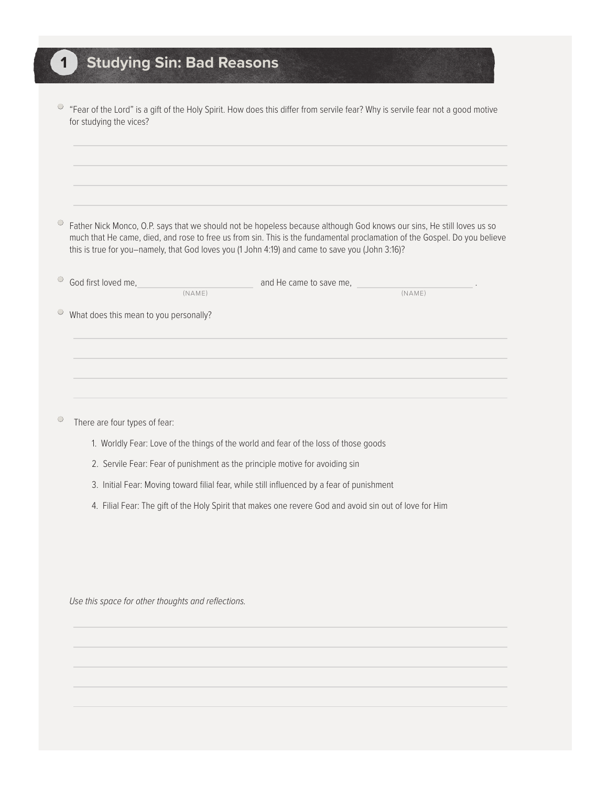| 1 Studying Sin: Bad Reasons |  |  |  |
|-----------------------------|--|--|--|
|                             |  |  |  |

| "Fear of the Lord" is a gift of the Holy Spirit. How does this differ from servile fear? Why is servile fear not a good motive<br>for studying the vices?                                                                                                                                                                                             |
|-------------------------------------------------------------------------------------------------------------------------------------------------------------------------------------------------------------------------------------------------------------------------------------------------------------------------------------------------------|
|                                                                                                                                                                                                                                                                                                                                                       |
|                                                                                                                                                                                                                                                                                                                                                       |
| Father Nick Monco, O.P. says that we should not be hopeless because although God knows our sins, He still loves us so<br>much that He came, died, and rose to free us from sin. This is the fundamental proclamation of the Gospel. Do you believe<br>this is true for you-namely, that God loves you (1 John 4:19) and came to save you (John 3:16)? |
| God first loved me,<br>and He came to save me,                                                                                                                                                                                                                                                                                                        |
| (NAME)<br>(NAME)                                                                                                                                                                                                                                                                                                                                      |
| What does this mean to you personally?                                                                                                                                                                                                                                                                                                                |
|                                                                                                                                                                                                                                                                                                                                                       |
|                                                                                                                                                                                                                                                                                                                                                       |
|                                                                                                                                                                                                                                                                                                                                                       |
|                                                                                                                                                                                                                                                                                                                                                       |
| There are four types of fear:                                                                                                                                                                                                                                                                                                                         |
|                                                                                                                                                                                                                                                                                                                                                       |

- 1. Worldly Fear: Love of the things of the world and fear of the loss of those goods
- 2. Servile Fear: Fear of punishment as the principle motive for avoiding sin
- 3. Initial Fear: Moving toward filial fear, while still influenced by a fear of punishment
- 4. Filial Fear: The gift of the Holy Spirit that makes one revere God and avoid sin out of love for Him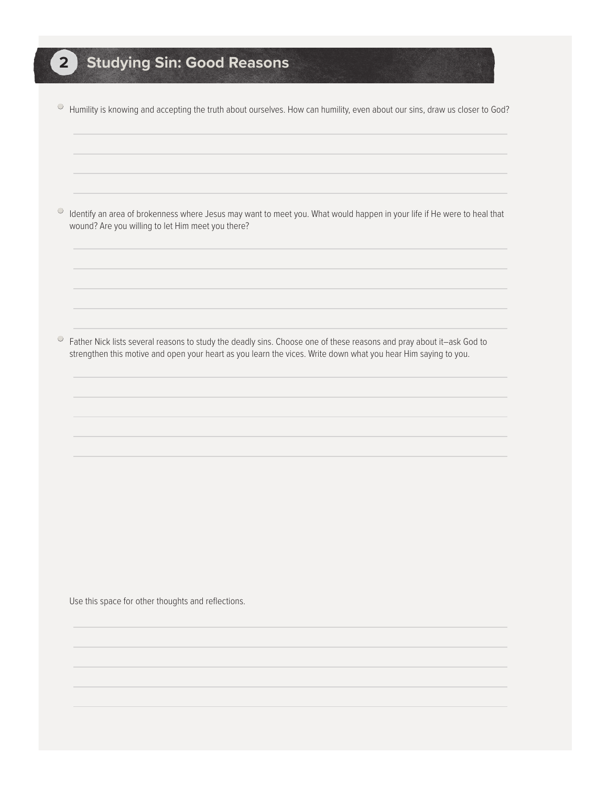• Humility is knowing and accepting the truth about ourselves. How can humility, even about our sins, draw us closer to God?

• Identify an area of brokenness where Jesus may want to meet you. What would happen in your life if He were to heal that wound? Are you willing to let Him meet you there?

• Father Nick lists several reasons to study the deadly sins. Choose one of these reasons and pray about it–ask God to strengthen this motive and open your heart as you learn the vices. Write down what you hear Him saying to you.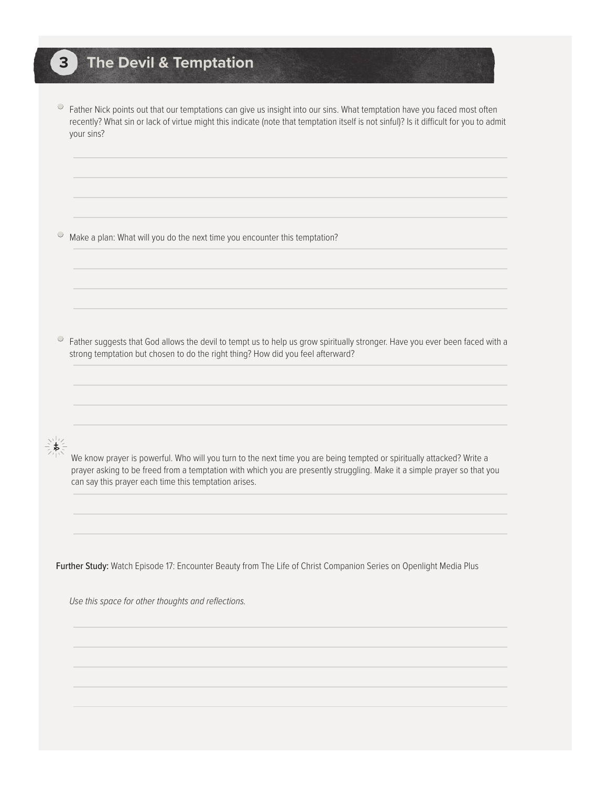#### **3 The Devil & Temptation**

• Father Nick points out that our temptations can give us insight into our sins. What temptation have you faced most often recently? What sin or lack of virtue might this indicate (note that temptation itself is not sinful)? Is it difficult for you to admit your sins?

• Make a plan: What will you do the next time you encounter this temptation?

• Father suggests that God allows the devil to tempt us to help us grow spiritually stronger. Have you ever been faced with a strong temptation but chosen to do the right thing? How did you feel afterward?

We know prayer is powerful. Who will you turn to the next time you are being tempted or spiritually attacked? Write a prayer asking to be freed from a temptation with which you are presently struggling. Make it a simple prayer so that you can say this prayer each time this temptation arises.

Further Study: Watch Episode 17: Encounter Beauty from The Life of Christ Companion Series on Openlight Media Plus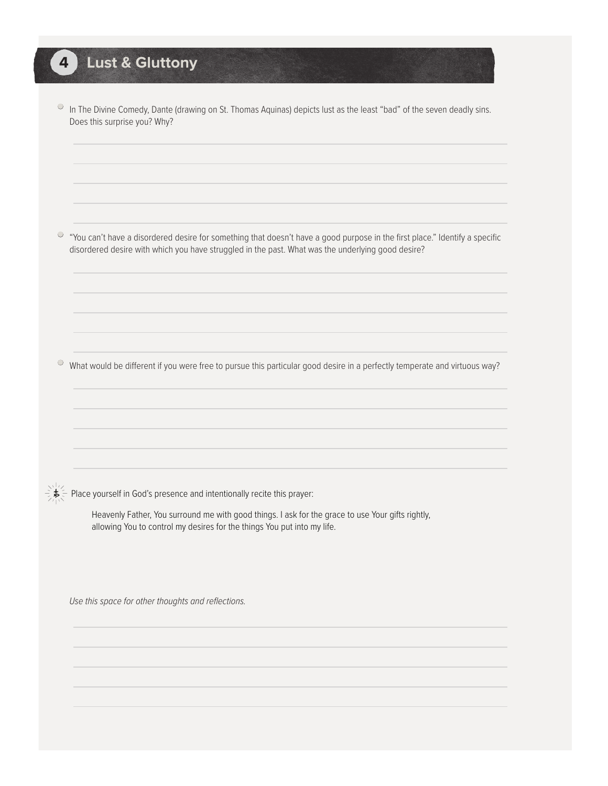# **4 Lust & Gluttony**

| $\circ$ | In The Divine Comedy, Dante (drawing on St. Thomas Aquinas) depicts lust as the least "bad" of the seven deadly sins.<br>Does this surprise you? Why?                                                                            |
|---------|----------------------------------------------------------------------------------------------------------------------------------------------------------------------------------------------------------------------------------|
|         |                                                                                                                                                                                                                                  |
|         |                                                                                                                                                                                                                                  |
| 0       | "You can't have a disordered desire for something that doesn't have a good purpose in the first place." Identify a specific<br>disordered desire with which you have struggled in the past. What was the underlying good desire? |
|         |                                                                                                                                                                                                                                  |
|         |                                                                                                                                                                                                                                  |
| $\circ$ | What would be different if you were free to pursue this particular good desire in a perfectly temperate and virtuous way?                                                                                                        |
|         |                                                                                                                                                                                                                                  |
|         |                                                                                                                                                                                                                                  |
|         |                                                                                                                                                                                                                                  |
|         | Place yourself in God's presence and intentionally recite this prayer:                                                                                                                                                           |
|         | Heavenly Father, You surround me with good things. I ask for the grace to use Your gifts rightly,<br>allowing You to control my desires for the things You put into my life.                                                     |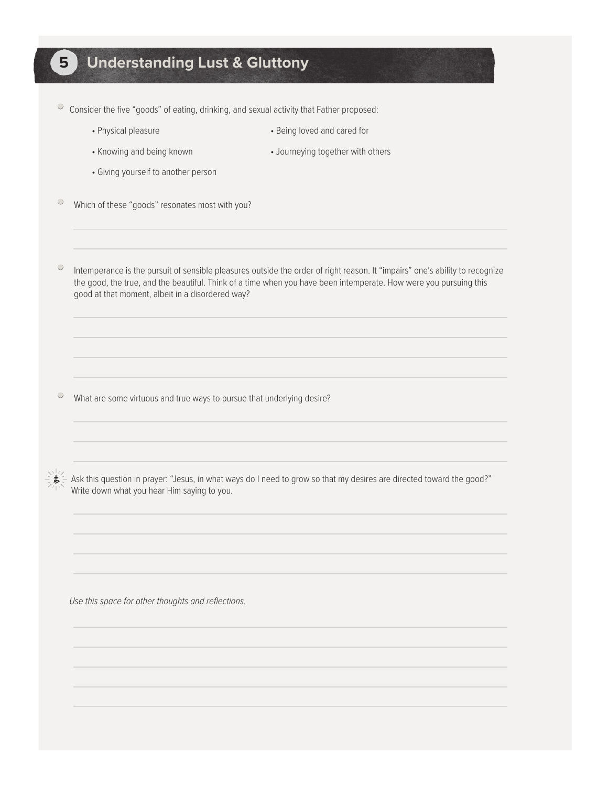#### **5 Understanding Lust & Gluttony**

• Consider the five "goods" of eating, drinking, and sexual activity that Father proposed:

- 
- Physical pleasure  **Being loved and cared for**
- Knowing and being known Journeying together with others
	-
- Giving yourself to another person
- $\circ$  Which of these "goods" resonates most with you?

• Intemperance is the pursuit of sensible pleasures outside the order of right reason. It "impairs" one's ability to recognize the good, the true, and the beautiful. Think of a time when you have been intemperate. How were you pursuing this good at that moment, albeit in a disordered way?

• What are some virtuous and true ways to pursue that underlying desire?



Ask this question in prayer: "Jesus, in what ways do I need to grow so that my desires are directed toward the good?" Write down what you hear Him saying to you.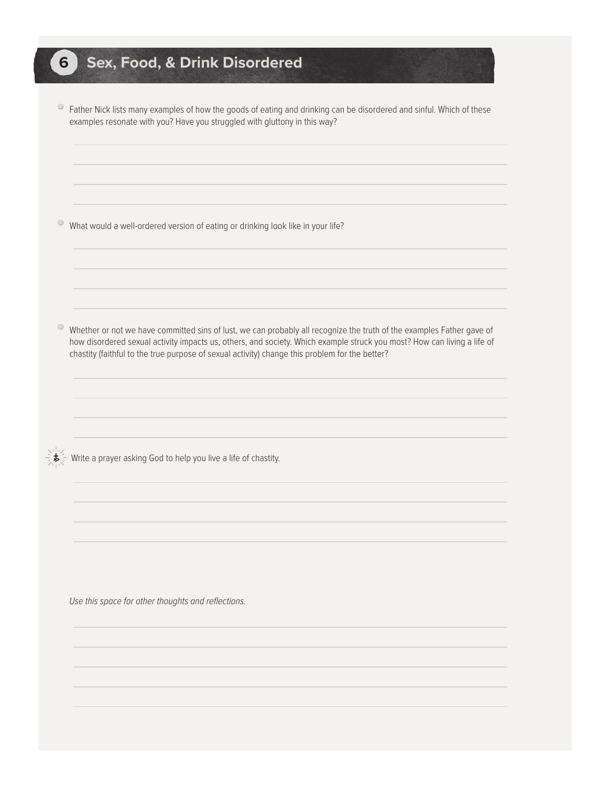## **6 Sex, Food, & Drink Disordered**

 $\circ$  Father Nick lists many examples of how the goods of eating and drinking can be disordered and sinful. Which of these examples resonate with you? Have you struggled with gluttony in this way?

 $\circ$  What would a well-ordered version of eating or drinking look like in your life?

• Whether or not we have committed sins of lust, we can probably all recognize the truth of the examples Father gave of how disordered sexual activity impacts us, others, and society. Which example struck you most? How can living a life of chastity (faithful to the true purpose of sexual activity) change this problem for the better?

Write a prayer asking God to help you live a life of chastity.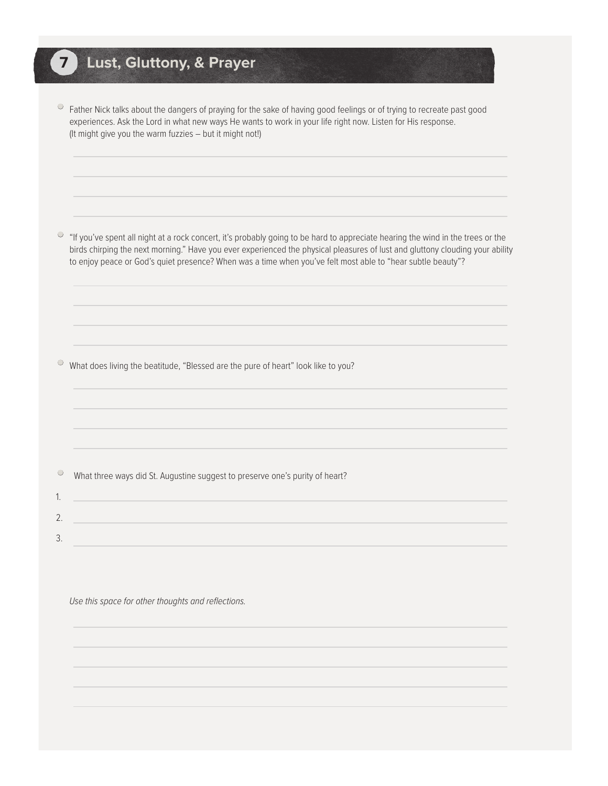# **7 Lust, Gluttony, & Prayer**

| ● Father Nick talks about the dangers of praying for the sake of having good feelings or of trying to recreate past good |
|--------------------------------------------------------------------------------------------------------------------------|
| experiences. Ask the Lord in what new ways He wants to work in your life right now. Listen for His response.             |
| (It might give you the warm fuzzies – but it might not!)                                                                 |

• "If you've spent all night at a rock concert, it's probably going to be hard to appreciate hearing the wind in the trees or the birds chirping the next morning." Have you ever experienced the physical pleasures of lust and gluttony clouding your ability to enjoy peace or God's quiet presence? When was a time when you've felt most able to "hear subtle beauty"?

• What does living the beatitude, "Blessed are the pure of heart" look like to you?

• What three ways did St. Augustine suggest to preserve one's purity of heart? 1. 2. 3.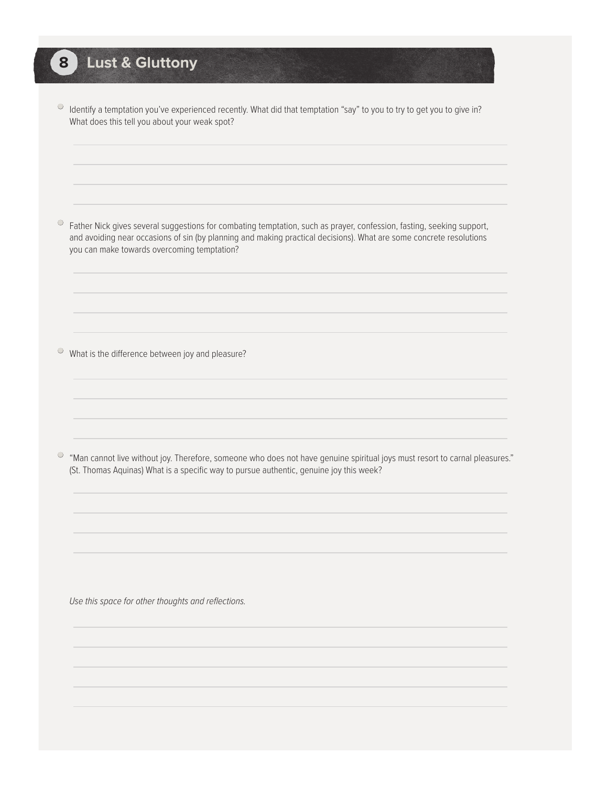#### **8 Lust & Gluttony**

• Identify a temptation you've experienced recently. What did that temptation "say" to you to try to get you to give in? What does this tell you about your weak spot?

• Father Nick gives several suggestions for combating temptation, such as prayer, confession, fasting, seeking support, and avoiding near occasions of sin (by planning and making practical decisions). What are some concrete resolutions you can make towards overcoming temptation?

 $\circ$  What is the difference between joy and pleasure?

• "Man cannot live without joy. Therefore, someone who does not have genuine spiritual joys must resort to carnal pleasures." (St. Thomas Aquinas) What is a specific way to pursue authentic, genuine joy this week?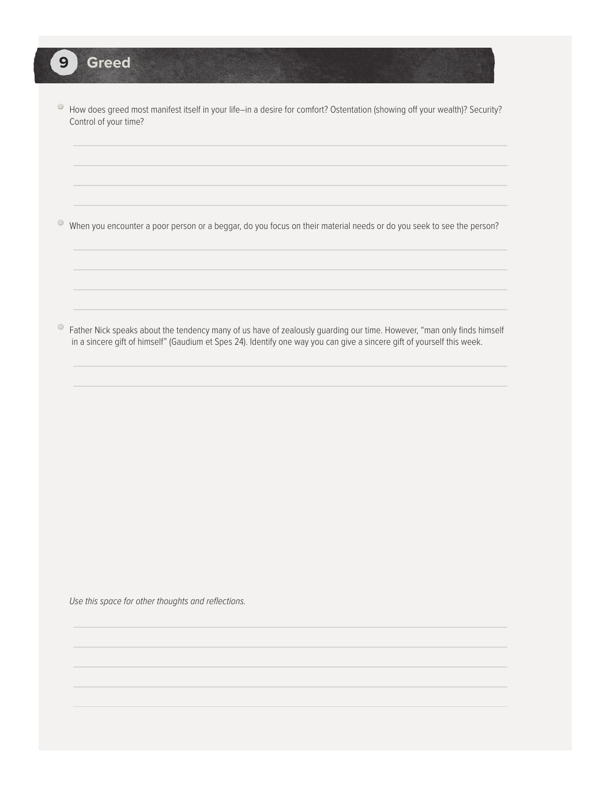• How does greed most manifest itself in your life–in a desire for comfort? Ostentation (showing off your wealth)? Security? Control of your time?

• When you encounter a poor person or a beggar, do you focus on their material needs or do you seek to see the person?

• Father Nick speaks about the tendency many of us have of zealously guarding our time. However, "man only finds himself in a sincere gift of himself" (Gaudium et Spes 24). Identify one way you can give a sincere gift of yourself this week.

*Use this space for other thoughts and reflections.*

**9 Greed**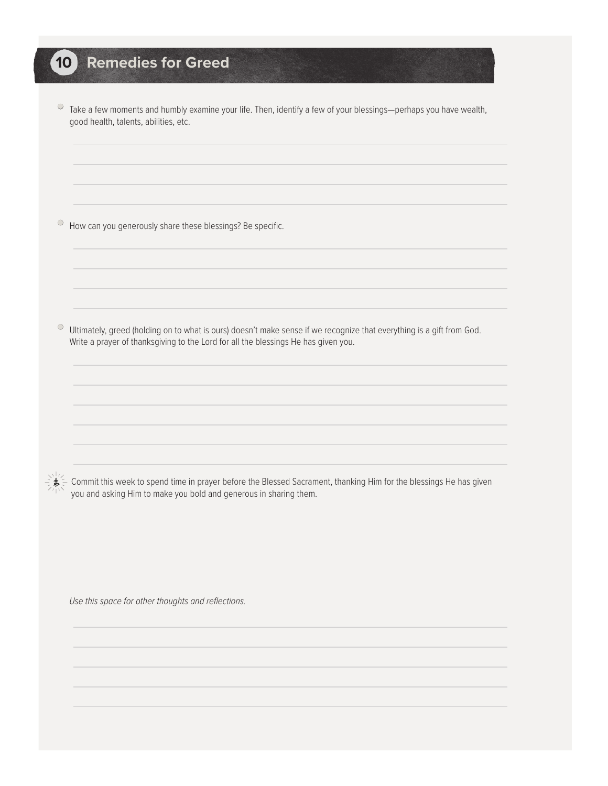## **10 Remedies for Greed**

• Take a few moments and humbly examine your life. Then, identify a few of your blessings—perhaps you have wealth, good health, talents, abilities, etc.

 $\bullet$  How can you generously share these blessings? Be specific.

• Ultimately, greed (holding on to what is ours) doesn't make sense if we recognize that everything is a gift from God. Write a prayer of thanksgiving to the Lord for all the blessings He has given you.

 $\stackrel{\scriptstyle <}{\scriptstyle \sim}$  Commit this week to spend time in prayer before the Blessed Sacrament, thanking Him for the blessings He has given you and asking Him to make you bold and generous in sharing them.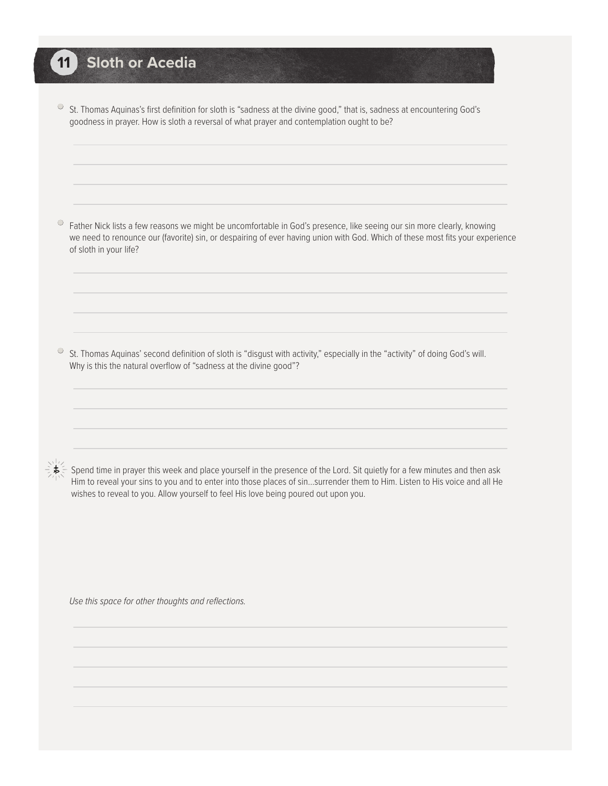#### **11 Sloth or Acedia**

• St. Thomas Aquinas's first definition for sloth is "sadness at the divine good," that is, sadness at encountering God's goodness in prayer. How is sloth a reversal of what prayer and contemplation ought to be?

• Father Nick lists a few reasons we might be uncomfortable in God's presence, like seeing our sin more clearly, knowing we need to renounce our (favorite) sin, or despairing of ever having union with God. Which of these most fits your experience of sloth in your life?

• St. Thomas Aquinas' second definition of sloth is "disgust with activity," especially in the "activity" of doing God's will. Why is this the natural overflow of "sadness at the divine good"?

 Spend time in prayer this week and place yourself in the presence of the Lord. Sit quietly for a few minutes and then ask Him to reveal your sins to you and to enter into those places of sin…surrender them to Him. Listen to His voice and all He wishes to reveal to you. Allow yourself to feel His love being poured out upon you.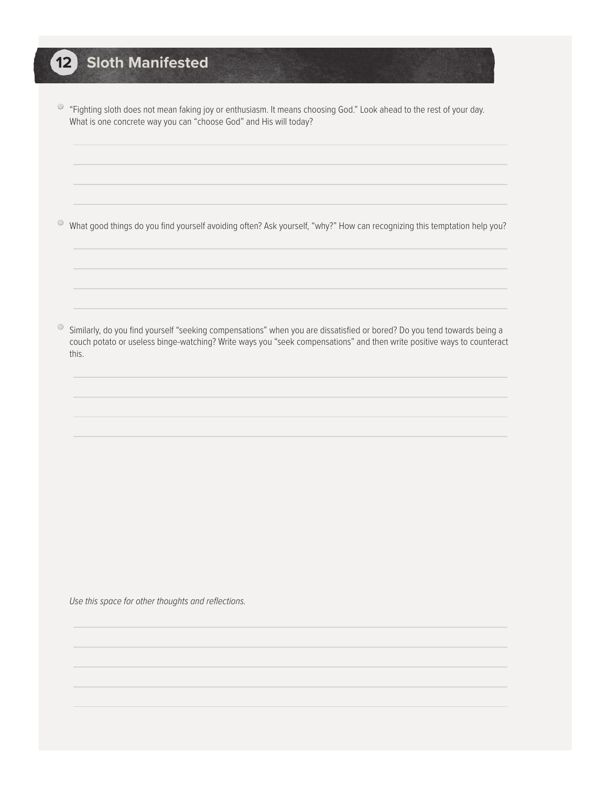# **12 Sloth Manifested**

• "Fighting sloth does not mean faking joy or enthusiasm. It means choosing God." Look ahead to the rest of your day. What is one concrete way you can "choose God" and His will today?

• What good things do you find yourself avoiding often? Ask yourself, "why?" How can recognizing this temptation help you?

• Similarly, do you find yourself "seeking compensations" when you are dissatisfied or bored? Do you tend towards being a couch potato or useless binge-watching? Write ways you "seek compensations" and then write positive ways to counteract this.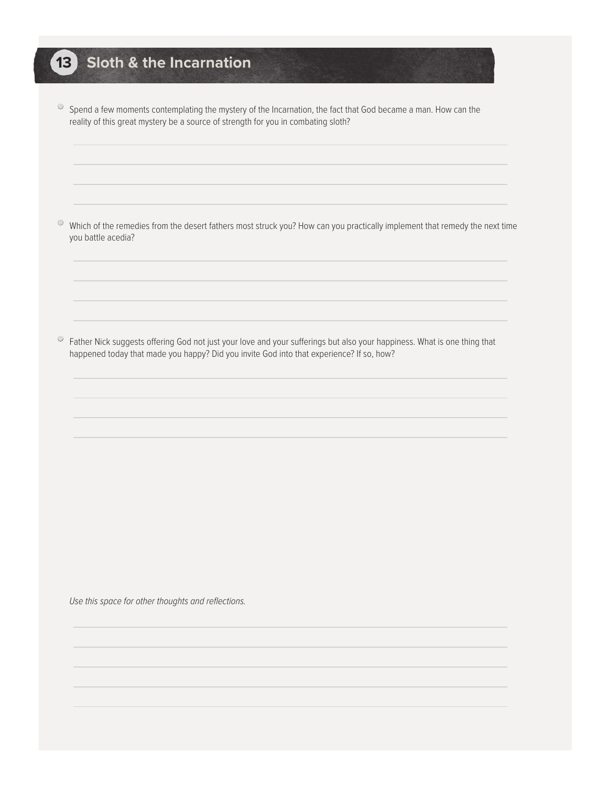## **13 Sloth & the Incarnation**

• Spend a few moments contemplating the mystery of the Incarnation, the fact that God became a man. How can the reality of this great mystery be a source of strength for you in combating sloth?

• Which of the remedies from the desert fathers most struck you? How can you practically implement that remedy the next time you battle acedia?

 $\circ$  Father Nick suggests offering God not just your love and your sufferings but also your happiness. What is one thing that happened today that made you happy? Did you invite God into that experience? If so, how?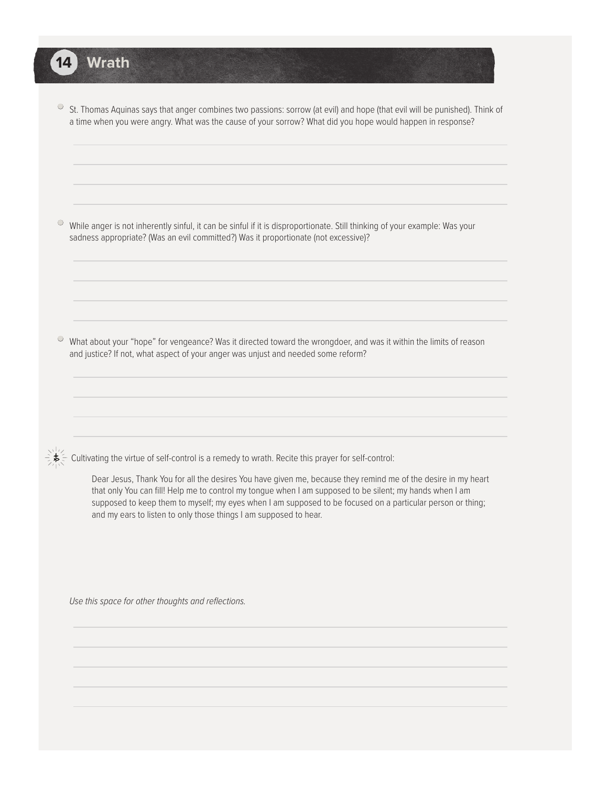• St. Thomas Aquinas says that anger combines two passions: sorrow (at evil) and hope (that evil will be punished). Think of a time when you were angry. What was the cause of your sorrow? What did you hope would happen in response?

 $\degree$  While anger is not inherently sinful, it can be sinful if it is disproportionate. Still thinking of your example: Was your sadness appropriate? (Was an evil committed?) Was it proportionate (not excessive)?

• What about your "hope" for vengeance? Was it directed toward the wrongdoer, and was it within the limits of reason and justice? If not, what aspect of your anger was unjust and needed some reform?

**14 Wrath**

Cultivating the virtue of self-control is a remedy to wrath. Recite this prayer for self-control:

Dear Jesus, Thank You for all the desires You have given me, because they remind me of the desire in my heart that only You can fill! Help me to control my tongue when I am supposed to be silent; my hands when I am supposed to keep them to myself; my eyes when I am supposed to be focused on a particular person or thing; and my ears to listen to only those things I am supposed to hear.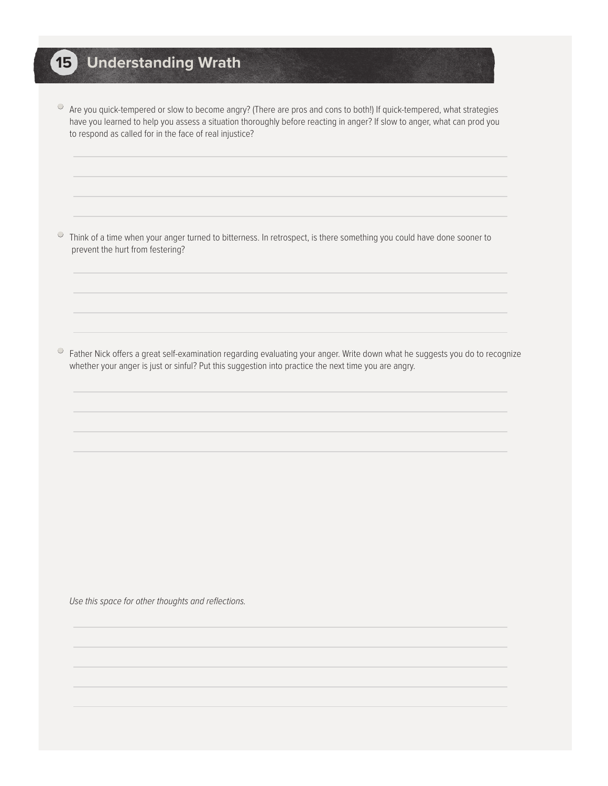## **15 Understanding Wrath**

• Are you quick-tempered or slow to become angry? (There are pros and cons to both!) If quick-tempered, what strategies have you learned to help you assess a situation thoroughly before reacting in anger? If slow to anger, what can prod you to respond as called for in the face of real injustice?

• Think of a time when your anger turned to bitterness. In retrospect, is there something you could have done sooner to prevent the hurt from festering?

 $\circ$  Father Nick offers a great self-examination regarding evaluating your anger. Write down what he suggests you do to recognize whether your anger is just or sinful? Put this suggestion into practice the next time you are angry.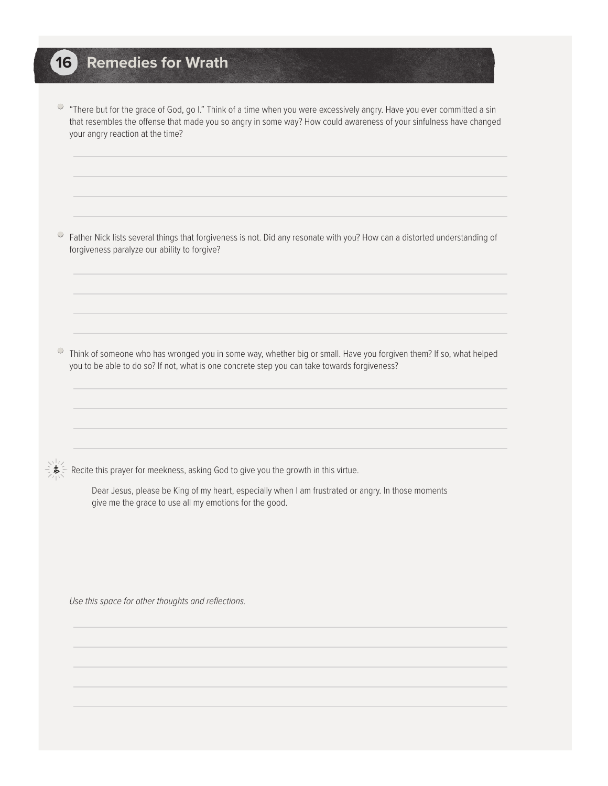#### **16 Remedies for Wrath**

 $\circ$  "There but for the grace of God, go I." Think of a time when you were excessively angry. Have you ever committed a sin that resembles the offense that made you so angry in some way? How could awareness of your sinfulness have changed your angry reaction at the time?

 $\circ$  Father Nick lists several things that forgiveness is not. Did any resonate with you? How can a distorted understanding of forgiveness paralyze our ability to forgive?

 $\circ$  Think of someone who has wronged you in some way, whether big or small. Have you forgiven them? If so, what helped you to be able to do so? If not, what is one concrete step you can take towards forgiveness?

Recite this prayer for meekness, asking God to give you the growth in this virtue.

Dear Jesus, please be King of my heart, especially when I am frustrated or angry. In those moments give me the grace to use all my emotions for the good.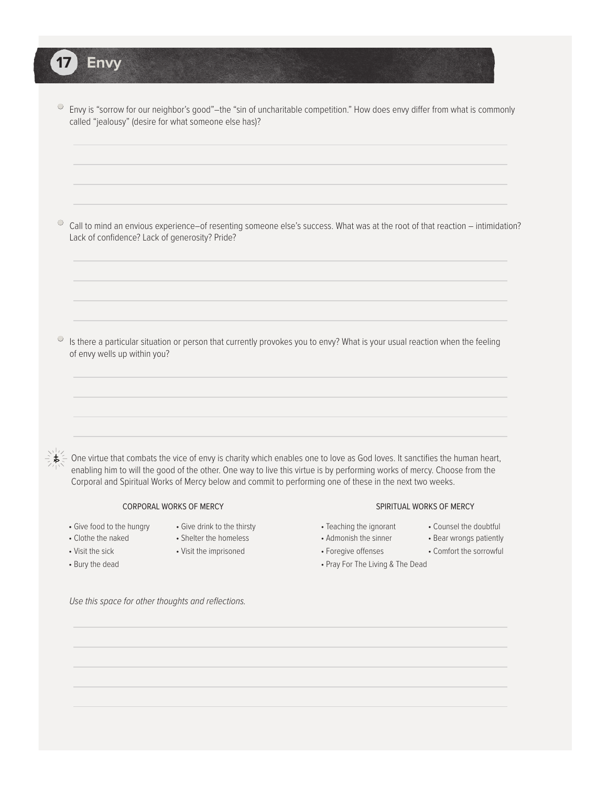• Envy is "sorrow for our neighbor's good"–the "sin of uncharitable competition." How does envy differ from what is commonly called "jealousy" (desire for what someone else has)?

• Call to mind an envious experience–of resenting someone else's success. What was at the root of that reaction – intimidation? Lack of confidence? Lack of generosity? Pride?

 $\circ$  Is there a particular situation or person that currently provokes you to envy? What is your usual reaction when the feeling of envy wells up within you?

 One virtue that combats the vice of envy is charity which enables one to love as God loves. It sanctifies the human heart, enabling him to will the good of the other. One way to live this virtue is by performing works of mercy. Choose from the Corporal and Spiritual Works of Mercy below and commit to performing one of these in the next two weeks.

#### CORPORAL WORKS OF MERCY

• Give food to the hungry • Give drink to the thirsty

• Bury the dead

**17 Envy**

- 
- Clothe the naked Shelter the homeless
- Visit the sick Visit the imprisoned
- SPIRITUAL WORKS OF MERCY
- Teaching the ignorant Counsel the doubtful
- Admonish the sinner Bear wrongs patiently
- Foregive offenses Comfort the sorrowful
- Pray For The Living & The Dead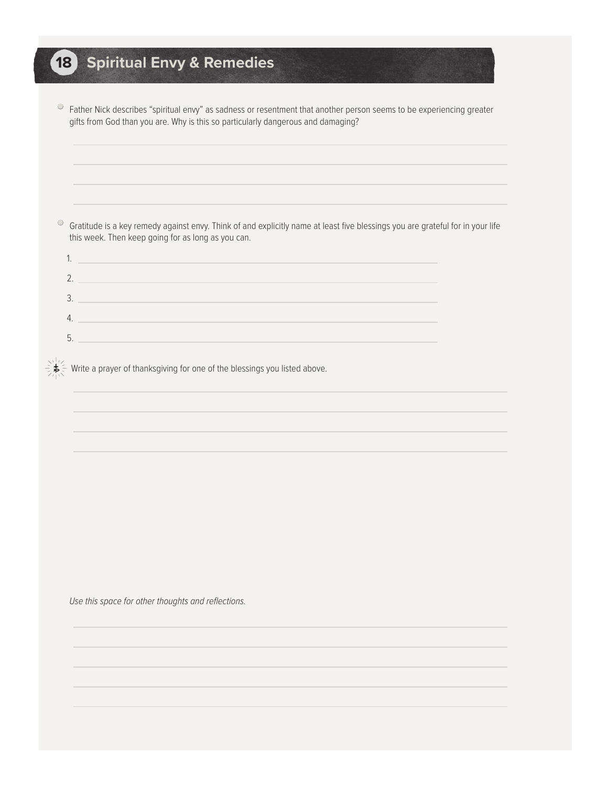# **18 Spiritual Envy & Remedies**

| Father Nick describes "spiritual envy" as sadness or resentment that another person seems to be experiencing greater |
|----------------------------------------------------------------------------------------------------------------------|
| gifts from God than you are. Why is this so particularly dangerous and damaging?                                     |

 $\degree$  Gratitude is a key remedy against envy. Think of and explicitly name at least five blessings you are grateful for in your life this week. Then keep going for as long as you can.

 $\frac{1}{2}$   $\frac{1}{2}$  Write a prayer of thanksgiving for one of the blessings you listed above.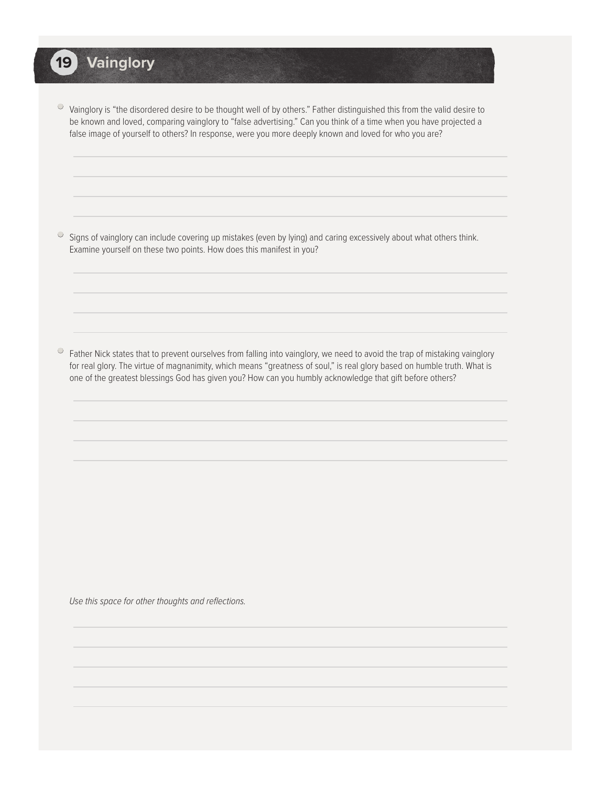## **19 Vainglory**

• Vainglory is "the disordered desire to be thought well of by others." Father distinguished this from the valid desire to be known and loved, comparing vainglory to "false advertising." Can you think of a time when you have projected a false image of yourself to others? In response, were you more deeply known and loved for who you are?

• Signs of vainglory can include covering up mistakes (even by lying) and caring excessively about what others think. Examine yourself on these two points. How does this manifest in you?

 $\circ$  Father Nick states that to prevent ourselves from falling into vainglory, we need to avoid the trap of mistaking vainglory for real glory. The virtue of magnanimity, which means "greatness of soul," is real glory based on humble truth. What is one of the greatest blessings God has given you? How can you humbly acknowledge that gift before others?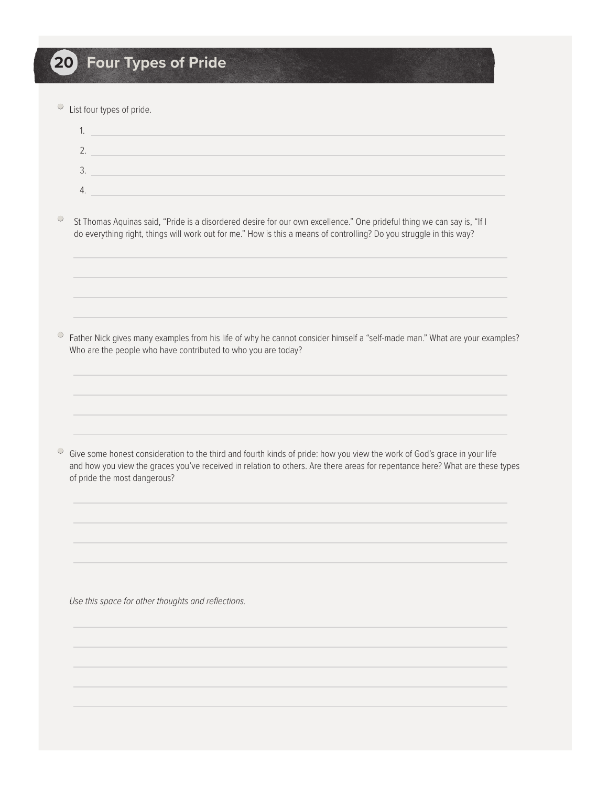• List four types of pride.

<sup>O</sup> St Thomas Aquinas said, "Pride is a disordered desire for our own excellence." One prideful thing we can say is, "If I do everything right, things will work out for me." How is this a means of controlling? Do you struggle in this way?

• Father Nick gives many examples from his life of why he cannot consider himself a "self-made man." What are your examples? Who are the people who have contributed to who you are today?

• Give some honest consideration to the third and fourth kinds of pride: how you view the work of God's grace in your life and how you view the graces you've received in relation to others. Are there areas for repentance here? What are these types of pride the most dangerous?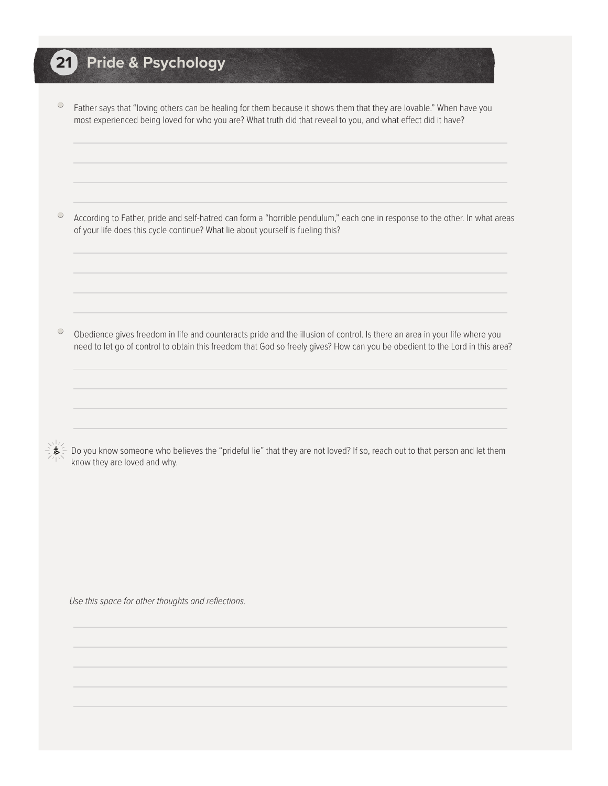### **21 Pride & Psychology**

• Father says that "loving others can be healing for them because it shows them that they are lovable." When have you most experienced being loved for who you are? What truth did that reveal to you, and what effect did it have?

• According to Father, pride and self-hatred can form a "horrible pendulum," each one in response to the other. In what areas of your life does this cycle continue? What lie about yourself is fueling this?

• Obedience gives freedom in life and counteracts pride and the illusion of control. Is there an area in your life where you need to let go of control to obtain this freedom that God so freely gives? How can you be obedient to the Lord in this area?

 Do you know someone who believes the "prideful lie" that they are not loved? If so, reach out to that person and let them know they are loved and why.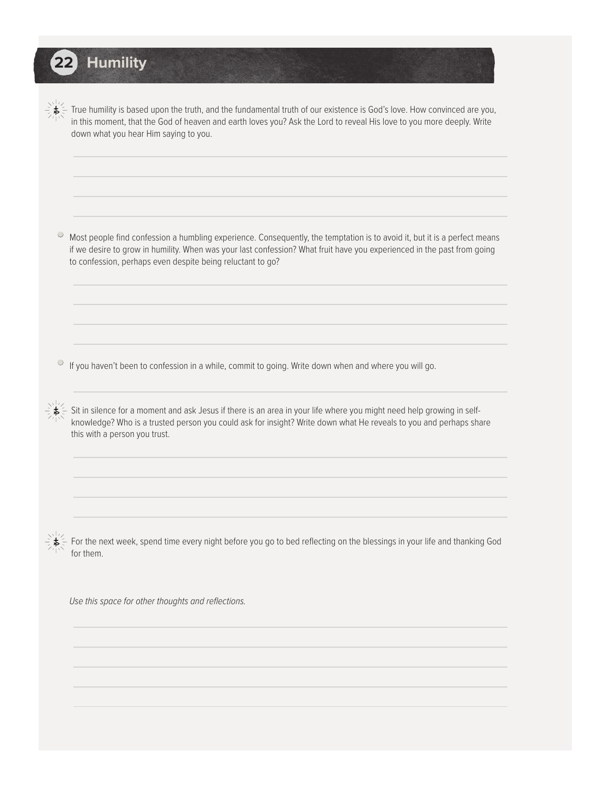## **22 Humility**

 True humility is based upon the truth, and the fundamental truth of our existence is God's love. How convinced are you, in this moment, that the God of heaven and earth loves you? Ask the Lord to reveal His love to you more deeply. Write down what you hear Him saying to you.

• Most people find confession a humbling experience. Consequently, the temptation is to avoid it, but it is a perfect means if we desire to grow in humility. When was your last confession? What fruit have you experienced in the past from going to confession, perhaps even despite being reluctant to go?

• If you haven't been to confession in a while, commit to going. Write down when and where you will go.

 Sit in silence for a moment and ask Jesus if there is an area in your life where you might need help growing in self knowledge? Who is a trusted person you could ask for insight? Write down what He reveals to you and perhaps share this with a person you trust.

 For the next week, spend time every night before you go to bed reflecting on the blessings in your life and thanking God for them.

*Use this space for other thoughts and reflections.*

l.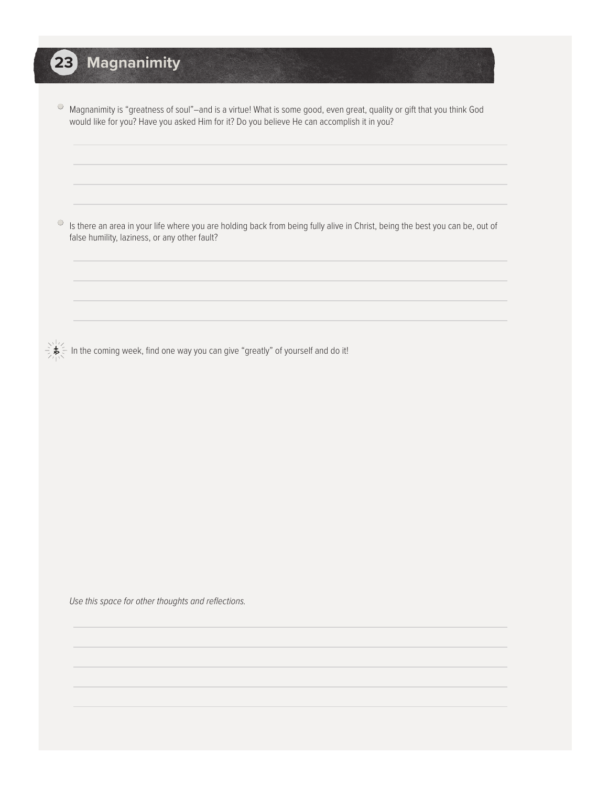# **23 Magnanimity**

• Magnanimity is "greatness of soul"–and is a virtue! What is some good, even great, quality or gift that you think God would like for you? Have you asked Him for it? Do you believe He can accomplish it in you?

• Is there an area in your life where you are holding back from being fully alive in Christ, being the best you can be, out of false humility, laziness, or any other fault?

 $\bigcup_{i=1}^{N+1}$  In the coming week, find one way you can give "greatly" of yourself and do it!